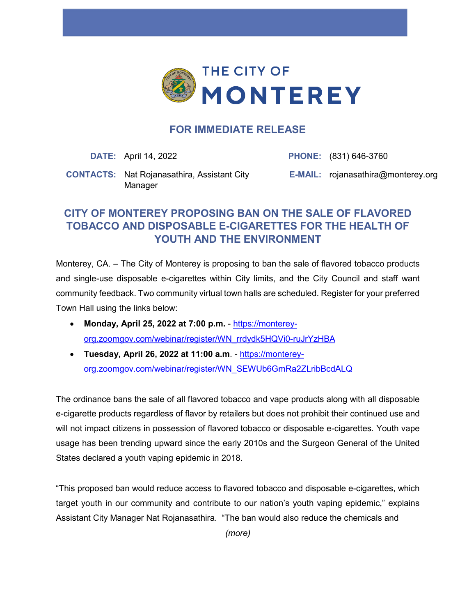

## **FOR IMMEDIATE RELEASE**

**DATE:** April 14, 2022 **PHONE:** (831) 646-3760

**CONTACTS:** Nat Rojanasathira, Assistant City Manager

**E-MAIL:** rojanasathira@monterey.org

## **CITY OF MONTEREY PROPOSING BAN ON THE SALE OF FLAVORED TOBACCO AND DISPOSABLE E-CIGARETTES FOR THE HEALTH OF YOUTH AND THE ENVIRONMENT**

Monterey, CA. – The City of Monterey is proposing to ban the sale of flavored tobacco products and single-use disposable e-cigarettes within City limits, and the City Council and staff want community feedback. Two community virtual town halls are scheduled. Register for your preferred Town Hall using the links below:

- **Monday, April 25, 2022 at 7:00 p.m.** [https://monterey](https://monterey-org.zoomgov.com/webinar/register/WN_rrdydk5HQVi0-ruJrYzHBA)[org.zoomgov.com/webinar/register/WN\\_rrdydk5HQVi0-ruJrYzHBA](https://monterey-org.zoomgov.com/webinar/register/WN_rrdydk5HQVi0-ruJrYzHBA)
- **Tuesday, April 26, 2022 at 11:00 a.m**. [https://monterey](https://monterey-org.zoomgov.com/webinar/register/WN_rrdydk5HQVi0-ruJrYzHBA)[org.zoomgov.com/webinar/register/WN\\_SEWUb6GmRa2ZLribBcdALQ](https://monterey-org.zoomgov.com/webinar/register/WN_rrdydk5HQVi0-ruJrYzHBA)

The ordinance bans the sale of all flavored tobacco and vape products along with all disposable e-cigarette products regardless of flavor by retailers but does not prohibit their continued use and will not impact citizens in possession of flavored tobacco or disposable e-cigarettes. Youth vape usage has been trending upward since the early 2010s and the Surgeon General of the United States declared a youth vaping epidemic in 2018.

"This proposed ban would reduce access to flavored tobacco and disposable e-cigarettes, which target youth in our community and contribute to our nation's youth vaping epidemic," explains Assistant City Manager Nat Rojanasathira. "The ban would also reduce the chemicals and

*(more)*